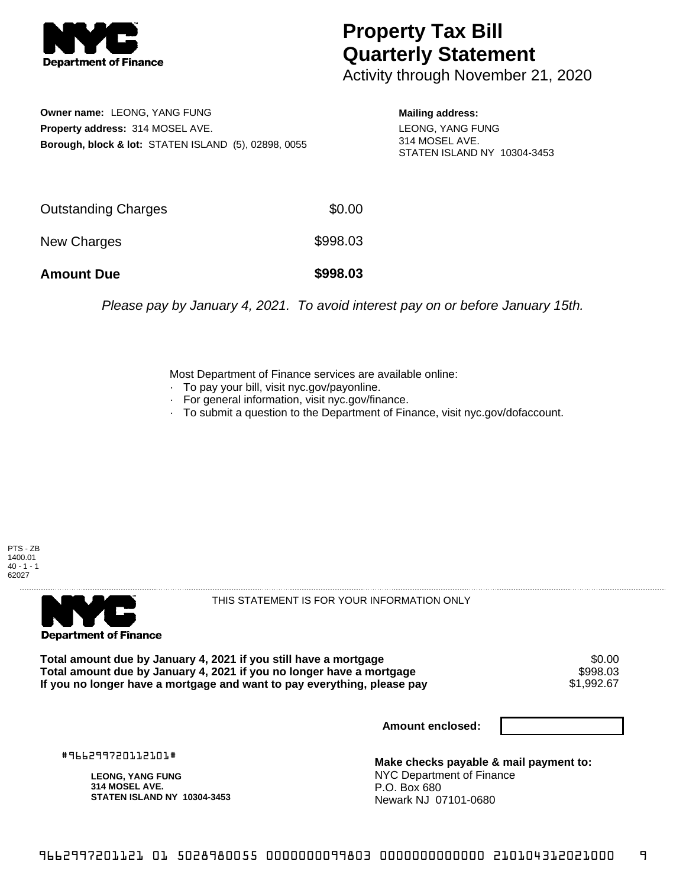

## **Property Tax Bill Quarterly Statement**

Activity through November 21, 2020

**Owner name:** LEONG, YANG FUNG **Property address:** 314 MOSEL AVE. **Borough, block & lot:** STATEN ISLAND (5), 02898, 0055 **Mailing address:**

LEONG, YANG FUNG 314 MOSEL AVE. STATEN ISLAND NY 10304-3453

| <b>Amount Due</b>   | \$998.03 |
|---------------------|----------|
| New Charges         | \$998.03 |
| Outstanding Charges | \$0.00   |

Please pay by January 4, 2021. To avoid interest pay on or before January 15th.

Most Department of Finance services are available online:

- · To pay your bill, visit nyc.gov/payonline.
- For general information, visit nyc.gov/finance.
- · To submit a question to the Department of Finance, visit nyc.gov/dofaccount.





THIS STATEMENT IS FOR YOUR INFORMATION ONLY

Total amount due by January 4, 2021 if you still have a mortgage \$0.00<br>Total amount due by January 4, 2021 if you no longer have a mortgage \$998.03 **Total amount due by January 4, 2021 if you no longer have a mortgage \$998.03<br>If you no longer have a mortgage and want to pay everything, please pay \$1,992.67** If you no longer have a mortgage and want to pay everything, please pay

**Amount enclosed:**

#966299720112101#

**LEONG, YANG FUNG 314 MOSEL AVE. STATEN ISLAND NY 10304-3453**

**Make checks payable & mail payment to:** NYC Department of Finance P.O. Box 680 Newark NJ 07101-0680